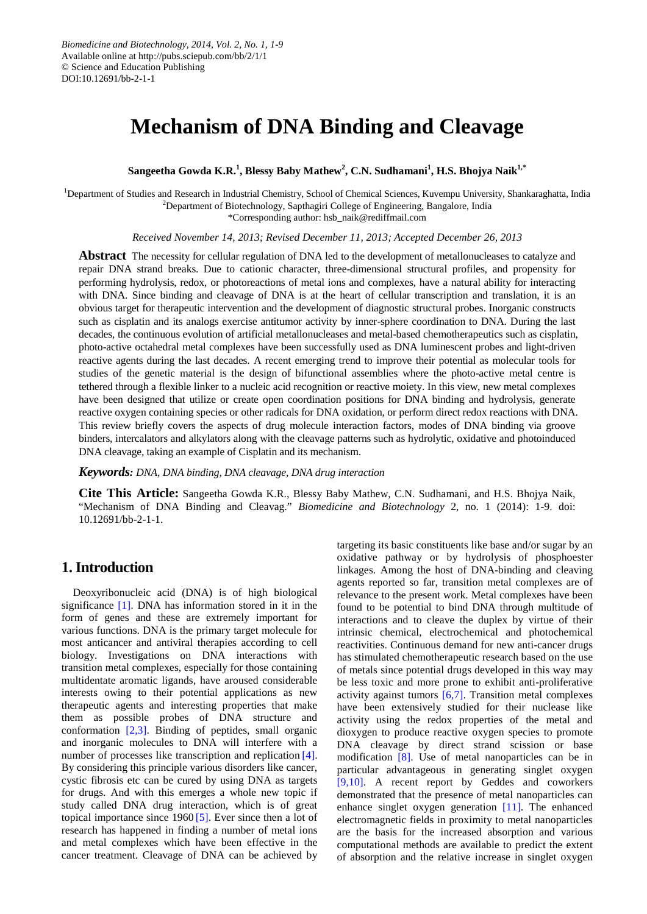# **Mechanism of DNA Binding and Cleavage**

**Sangeetha Gowda K.R.<sup>1</sup> , Blessy Baby Mathew<sup>2</sup> , C.N. Sudhamani<sup>1</sup> , H.S. Bhojya Naik1,\***

<sup>1</sup>Department of Studies and Research in Industrial Chemistry, School of Chemical Sciences, Kuvempu University, Shankaraghatta, India <sup>2</sup>Department of Biotechnology, Sapthagiri College of Engineering, Bangalore, India \*Corresponding author: hsb\_naik@rediffmail.com

*Received November 14, 2013; Revised December 11, 2013; Accepted December 26, 2013*

**Abstract** The necessity for cellular regulation of DNA led to the development of metallonucleases to catalyze and repair DNA strand breaks. Due to cationic character, three-dimensional structural profiles, and propensity for performing hydrolysis, redox, or photoreactions of metal ions and complexes, have a natural ability for interacting with DNA. Since binding and cleavage of DNA is at the heart of cellular transcription and translation, it is an obvious target for therapeutic intervention and the development of diagnostic structural probes. Inorganic constructs such as cisplatin and its analogs exercise antitumor activity by inner-sphere coordination to DNA. During the last decades, the continuous evolution of artificial metallonucleases and metal-based chemotherapeutics such as cisplatin, photo-active octahedral metal complexes have been successfully used as DNA luminescent probes and light-driven reactive agents during the last decades. A recent emerging trend to improve their potential as molecular tools for studies of the genetic material is the design of bifunctional assemblies where the photo-active metal centre is tethered through a flexible linker to a nucleic acid recognition or reactive moiety. In this view, new metal complexes have been designed that utilize or create open coordination positions for DNA binding and hydrolysis, generate reactive oxygen containing species or other radicals for DNA oxidation, or perform direct redox reactions with DNA. This review briefly covers the aspects of drug molecule interaction factors, modes of DNA binding via groove binders, intercalators and alkylators along with the cleavage patterns such as hydrolytic, oxidative and photoinduced DNA cleavage, taking an example of Cisplatin and its mechanism.

*Keywords: DNA, DNA binding, DNA cleavage, DNA drug interaction*

**Cite This Article:** Sangeetha Gowda K.R., Blessy Baby Mathew, C.N. Sudhamani, and H.S. Bhojya Naik, "Mechanism of DNA Binding and Cleavag." *Biomedicine and Biotechnology* 2, no. 1 (2014): 1-9. doi: 10.12691/bb-2-1-1.

# **1. Introduction**

Deoxyribonucleic acid (DNA) is of high biological significance [\[1\].](#page-6-0) DNA has information stored in it in the form of genes and these are extremely important for various functions. DNA is the primary target molecule for most anticancer and antiviral therapies according to cell biology. Investigations on DNA interactions with transition metal complexes, especially for those containing multidentate aromatic ligands, have aroused considerable interests owing to their potential applications as new therapeutic agents and interesting properties that make them as possible probes of DNA structure and conformation [\[2,3\].](#page-6-1) Binding of peptides, small organic and inorganic molecules to DNA will interfere with a number of processes like transcription and replication [\[4\].](#page-7-0) By considering this principle various disorders like cancer, cystic fibrosis etc can be cured by using DNA as targets for drugs. And with this emerges a whole new topic if study called DNA drug interaction, which is of great topical importance since 1960 [\[5\].](#page-7-1) Ever since then a lot of research has happened in finding a number of metal ions and metal complexes which have been effective in the cancer treatment. Cleavage of DNA can be achieved by

targeting its basic constituents like base and/or sugar by an oxidative pathway or by hydrolysis of phosphoester linkages. Among the host of DNA-binding and cleaving agents reported so far, transition metal complexes are of relevance to the present work. Metal complexes have been found to be potential to bind DNA through multitude of interactions and to cleave the duplex by virtue of their intrinsic chemical, electrochemical and photochemical reactivities. Continuous demand for new anti-cancer drugs has stimulated chemotherapeutic research based on the use of metals since potential drugs developed in this way may be less toxic and more prone to exhibit anti-proliferative activity against tumors  $\overline{6,7}$ . Transition metal complexes have been extensively studied for their nuclease like activity using the redox properties of the metal and dioxygen to produce reactive oxygen species to promote DNA cleavage by direct strand scission or base modification [\[8\].](#page-7-3) Use of metal nanoparticles can be in particular advantageous in generating singlet oxygen [\[9,10\].](#page-7-4) A recent report by Geddes and coworkers demonstrated that the presence of metal nanoparticles can enhance singlet oxygen generation [\[11\].](#page-7-5) The enhanced electromagnetic fields in proximity to metal nanoparticles are the basis for the increased absorption and various computational methods are available to predict the extent of absorption and the relative increase in singlet oxygen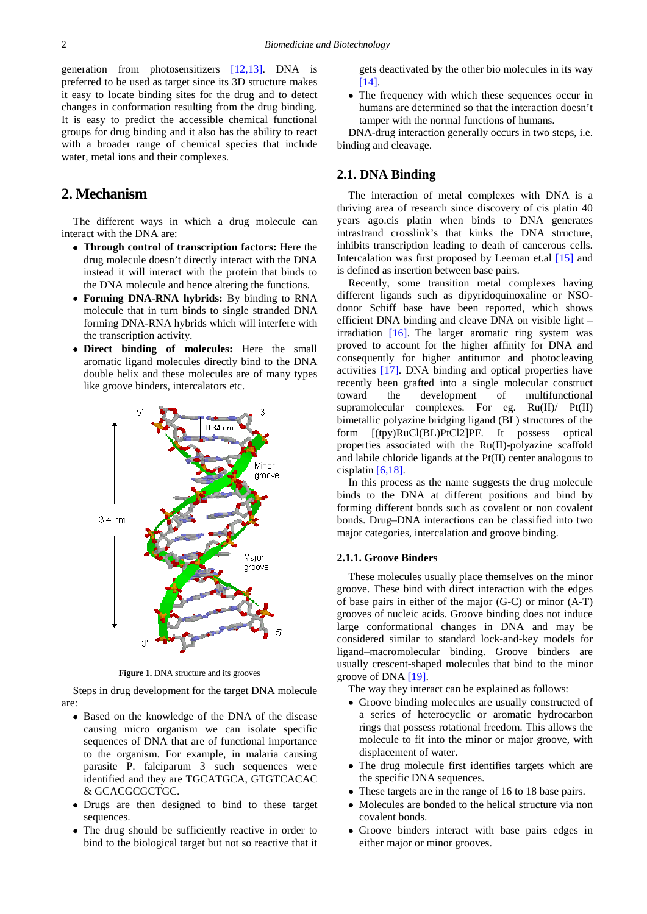generation from photosensitizers [\[12,13\].](#page-7-6) DNA is preferred to be used as target since its 3D structure makes it easy to locate binding sites for the drug and to detect changes in conformation resulting from the drug binding. It is easy to predict the accessible chemical functional groups for drug binding and it also has the ability to react with a broader range of chemical species that include water, metal ions and their complexes.

# **2. Mechanism**

The different ways in which a drug molecule can interact with the DNA are:

- **Through control of transcription factors:** Here the drug molecule doesn't directly interact with the DNA instead it will interact with the protein that binds to the DNA molecule and hence altering the functions.
- **Forming DNA-RNA hybrids:** By binding to RNA molecule that in turn binds to single stranded DNA forming DNA-RNA hybrids which will interfere with the transcription activity.
- **Direct binding of molecules:** Here the small aromatic ligand molecules directly bind to the DNA double helix and these molecules are of many types like groove binders, intercalators etc.



**Figure 1.** DNA structure and its grooves

Steps in drug development for the target DNA molecule are:

- Based on the knowledge of the DNA of the disease causing micro organism we can isolate specific sequences of DNA that are of functional importance to the organism. For example, in malaria causing parasite P. falciparum 3 such sequences were identified and they are TGCATGCA, GTGTCACAC & GCACGCGCTGC.
- Drugs are then designed to bind to these target sequences.
- The drug should be sufficiently reactive in order to bind to the biological target but not so reactive that it

gets deactivated by the other bio molecules in its way [\[14\].](#page-7-7)

• The frequency with which these sequences occur in humans are determined so that the interaction doesn't tamper with the normal functions of humans.

DNA-drug interaction generally occurs in two steps, i.e. binding and cleavage.

# **2.1. DNA Binding**

The interaction of metal complexes with DNA is a thriving area of research since discovery of cis platin 40 years ago.cis platin when binds to DNA generates intrastrand crosslink's that kinks the DNA structure, inhibits transcription leading to death of cancerous cells. Intercalation was first proposed by Leeman et.al [\[15\]](#page-7-8) and is defined as insertion between base pairs.

Recently, some transition metal complexes having different ligands such as dipyridoquinoxaline or NSOdonor Schiff base have been reported, which shows efficient DNA binding and cleave DNA on visible light – irradiation [\[16\].](#page-7-9) The larger aromatic ring system was proved to account for the higher affinity for DNA and consequently for higher antitumor and photocleaving activities [\[17\].](#page-7-10) DNA binding and optical properties have recently been grafted into a single molecular construct toward the development of multifunctional supramolecular complexes. For eg.  $Ru(II)$   $Pt(II)$ bimetallic polyazine bridging ligand (BL) structures of the form [(tpy)RuCl(BL)PtCl2]PF. It possess optical properties associated with the Ru(II)-polyazine scaffold and labile chloride ligands at the Pt(II) center analogous to cisplatin [\[6,18\].](#page-7-2)

In this process as the name suggests the drug molecule binds to the DNA at different positions and bind by forming different bonds such as covalent or non covalent bonds. Drug–DNA interactions can be classified into two major categories, intercalation and groove binding.

## **2.1.1. Groove Binders**

These molecules usually place themselves on the minor groove. These bind with direct interaction with the edges of base pairs in either of the major (G-C) or minor (A-T) grooves of nucleic acids. Groove binding does not induce large conformational changes in DNA and may be considered similar to standard lock-and-key models for ligand–macromolecular binding. Groove binders are usually crescent-shaped molecules that bind to the minor groove of DNA [\[19\].](#page-7-11)

The way they interact can be explained as follows:

- Groove binding molecules are usually constructed of a series of heterocyclic or aromatic hydrocarbon rings that possess rotational freedom. This allows the molecule to fit into the minor or major groove, with displacement of water.
- The drug molecule first identifies targets which are the specific DNA sequences.
- These targets are in the range of 16 to 18 base pairs.
- Molecules are bonded to the helical structure via non covalent bonds.
- Groove binders interact with base pairs edges in either major or minor grooves.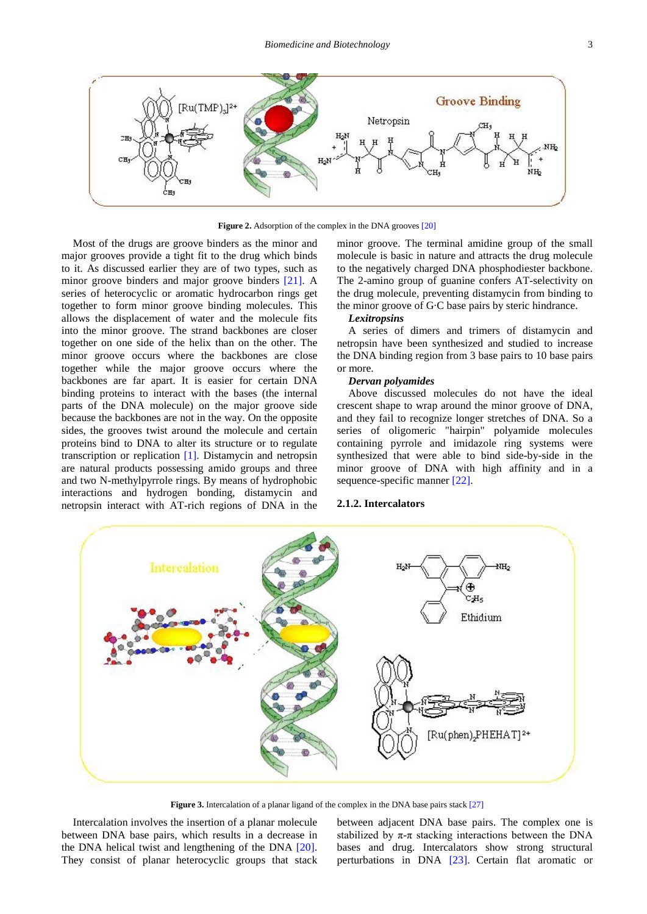

**Figure 2.** Adsorption of the complex in the DNA grooves [\[20\]](#page-7-12)

Most of the drugs are groove binders as the minor and major grooves provide a tight fit to the drug which binds to it. As discussed earlier they are of two types, such as minor groove binders and major groove binders [\[21\].](#page-7-13) A series of heterocyclic or aromatic hydrocarbon rings get together to form minor groove binding molecules. This allows the displacement of water and the molecule fits into the minor groove. The strand backbones are closer together on one side of the helix than on the other. The minor groove occurs where the backbones are close together while the major groove occurs where the backbones are far apart. It is easier for certain DNA binding proteins to interact with the bases (the internal parts of the DNA molecule) on the major groove side because the backbones are not in the way. On the opposite sides, the grooves twist around the molecule and certain proteins bind to DNA to alter its structure or to regulate transcription or replication [\[1\].](#page-6-0) Distamycin and netropsin are natural products possessing amido groups and three and two N-methylpyrrole rings. By means of hydrophobic interactions and hydrogen bonding, distamycin and netropsin interact with AT-rich regions of DNA in the

minor groove. The terminal amidine group of the small molecule is basic in nature and attracts the drug molecule to the negatively charged DNA phosphodiester backbone. The 2-amino group of guanine confers AT-selectivity on the drug molecule, preventing distamycin from binding to the minor groove of G·C base pairs by steric hindrance.

## *Lexitropsins*

A series of dimers and trimers of distamycin and netropsin have been synthesized and studied to increase the DNA binding region from 3 base pairs to 10 base pairs or more.

#### *Dervan polyamides*

Above discussed molecules do not have the ideal crescent shape to wrap around the minor groove of DNA, and they fail to recognize longer stretches of DNA. So a series of oligomeric "hairpin" polyamide molecules containing pyrrole and imidazole ring systems were synthesized that were able to bind side-by-side in the minor groove of DNA with high affinity and in a sequence-specific manner [\[22\].](#page-7-14)

## **2.1.2. Intercalators**



**Figure 3.** Intercalation of a planar ligand of the complex in the DNA base pairs stack [\[27\]](#page-7-15)

Intercalation involves the insertion of a planar molecule between DNA base pairs, which results in a decrease in the DNA helical twist and lengthening of the DNA [\[20\].](#page-7-12) They consist of planar heterocyclic groups that stack between adjacent DNA base pairs. The complex one is stabilized by  $\pi$ - $\pi$  stacking interactions between the DNA bases and drug. Intercalators show strong structural perturbations in DNA [\[23\].](#page-7-16) Certain flat aromatic or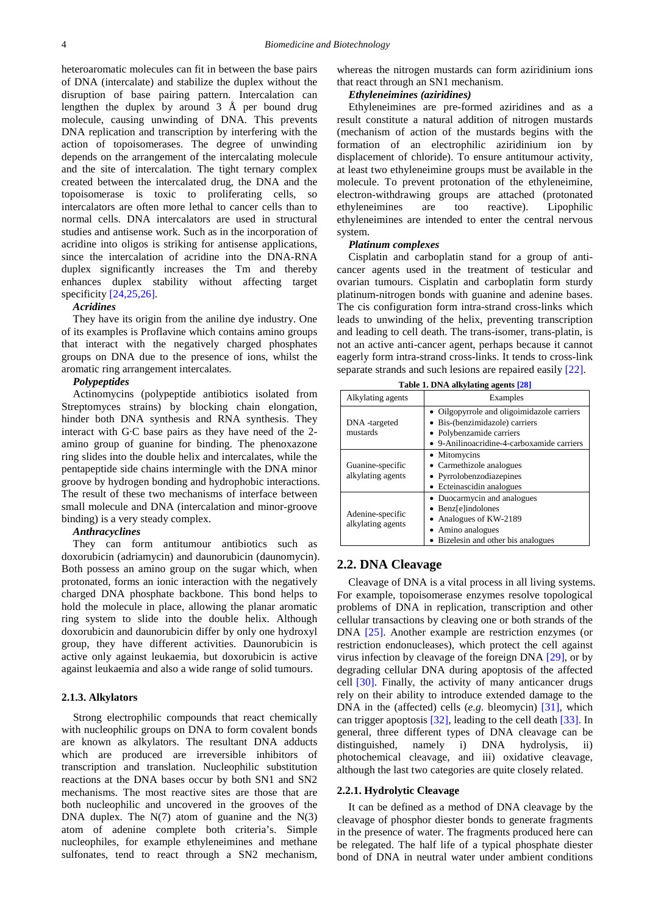heteroaromatic molecules can fit in between the base pairs of DNA (intercalate) and stabilize the duplex without the disruption of base pairing pattern. Intercalation can lengthen the duplex by around 3 Å per bound drug molecule, causing unwinding of DNA. This prevents DNA replication and transcription by interfering with the action of topoisomerases. The degree of unwinding depends on the arrangement of the intercalating molecule and the site of intercalation. The tight ternary complex created between the intercalated drug, the DNA and the topoisomerase is toxic to proliferating cells, so intercalators are often more lethal to cancer cells than to normal cells. DNA intercalators are used in structural studies and antisense work. Such as in the incorporation of acridine into oligos is striking for antisense applications, since the intercalation of acridine into the DNA-RNA duplex significantly increases the Tm and thereby enhances duplex stability without affecting target specificity  $[24,25,26]$ .

#### *Acridines*

They have its origin from the aniline dye industry. One of its examples is Proflavine which contains amino groups that interact with the negatively charged phosphates groups on DNA due to the presence of ions, whilst the aromatic ring arrangement intercalates.

#### *Polypeptides*

Actinomycins (polypeptide antibiotics isolated from Streptomyces strains) by blocking chain elongation, hinder both DNA synthesis and RNA synthesis. They interact with G·C base pairs as they have need of the 2 amino group of guanine for binding. The phenoxazone ring slides into the double helix and intercalates, while the pentapeptide side chains intermingle with the DNA minor groove by hydrogen bonding and hydrophobic interactions. The result of these two mechanisms of interface between small molecule and DNA (intercalation and minor-groove binding) is a very steady complex.

#### *Anthracyclines*

They can form antitumour antibiotics such as doxorubicin (adriamycin) and daunorubicin (daunomycin). Both possess an amino group on the sugar which, when protonated, forms an ionic interaction with the negatively charged DNA phosphate backbone. This bond helps to hold the molecule in place, allowing the planar aromatic ring system to slide into the double helix. Although doxorubicin and daunorubicin differ by only one hydroxyl group, they have different activities. Daunorubicin is active only against leukaemia, but doxorubicin is active against leukaemia and also a wide range of solid tumours.

### **2.1.3. Alkylators**

Strong electrophilic compounds that react chemically with nucleophilic groups on DNA to form covalent bonds are known as alkylators. The resultant DNA adducts which are produced are irreversible inhibitors of transcription and translation. Nucleophilic substitution reactions at the DNA bases occur by both SN1 and SN2 mechanisms. The most reactive sites are those that are both nucleophilic and uncovered in the grooves of the DNA duplex. The  $N(7)$  atom of guanine and the  $N(3)$ atom of adenine complete both criteria's. Simple nucleophiles, for example ethyleneimines and methane sulfonates, tend to react through a SN2 mechanism,

whereas the nitrogen mustards can form aziridinium ions that react through an SN1 mechanism.

## *Ethyleneimines (aziridines)*

Ethyleneimines are pre-formed aziridines and as a result constitute a natural addition of nitrogen mustards (mechanism of action of the mustards begins with the formation of an electrophilic aziridinium ion by displacement of chloride). To ensure antitumour activity, at least two ethyleneimine groups must be available in the molecule. To prevent protonation of the ethyleneimine, electron-withdrawing groups are attached (protonated ethyleneimines are too reactive). Lipophilic ethyleneimines are intended to enter the central nervous system.

#### *Platinum complexes*

Cisplatin and carboplatin stand for a group of anticancer agents used in the treatment of testicular and ovarian tumours. Cisplatin and carboplatin form sturdy platinum-nitrogen bonds with guanine and adenine bases. The cis configuration form intra-strand cross-links which leads to unwinding of the helix, preventing transcription and leading to cell death. The trans-isomer, trans-platin, is not an active anti-cancer agent, perhaps because it cannot eagerly form intra-strand cross-links. It tends to cross-link separate strands and such lesions are repaired easily [\[22\].](#page-7-14)

| Alkylating agents                                                                                                                                                              | $\frac{1}{2}$ and $\frac{1}{2}$ and $\frac{1}{2}$ and $\frac{1}{2}$ and $\frac{1}{2}$<br>Examples                                                      |
|--------------------------------------------------------------------------------------------------------------------------------------------------------------------------------|--------------------------------------------------------------------------------------------------------------------------------------------------------|
| DNA -targeted<br>mustards                                                                                                                                                      | • Oilgopyrrole and oligoimidazole carriers<br>• Bis-(benzimidazole) carriers<br>• Polybenzamide carriers<br>• 9-Anilinoacridine-4-carboxamide carriers |
| Guanine-specific<br>alkylating agents                                                                                                                                          | • Mitomycins<br>• Carmethizole analogues<br>• Pyrrolobenzodiazepines<br>• Ecteinascidin analogues                                                      |
| • Duocarmycin and analogues<br>• Benz[e]indolones<br>Adenine-specific<br>Analogues of KW-2189<br>alkylating agents<br>• Amino analogues<br>• Bizelesin and other bis analogues |                                                                                                                                                        |

## **2.2. DNA Cleavage**

Cleavage of DNA is a vital process in all living systems. For example, topoisomerase enzymes resolve topological problems of DNA in replication, transcription and other cellular transactions by cleaving one or both strands of the DNA [\[25\].](#page-7-19) Another example are restriction enzymes (or restriction endonucleases), which protect the cell against virus infection by cleavage of the foreign DNA [\[29\],](#page-7-20) or by degrading cellular DNA during apoptosis of the affected cell [\[30\].](#page-7-21) Finally, the activity of many anticancer drugs rely on their ability to introduce extended damage to the DNA in the (affected) cells (*e.g.* bleomycin) [\[31\],](#page-7-22) which can trigger apoptosis [\[32\],](#page-7-23) leading to the cell death [\[33\].](#page-7-24) In general, three different types of DNA cleavage can be distinguished, namely i) DNA hydrolysis, ii) photochemical cleavage, and iii) oxidative cleavage, although the last two categories are quite closely related.

## **2.2.1. Hydrolytic Cleavage**

It can be defined as a method of DNA cleavage by the cleavage of phosphor diester bonds to generate fragments in the presence of water. The fragments produced here can be relegated. The half life of a typical phosphate diester bond of DNA in neutral water under ambient conditions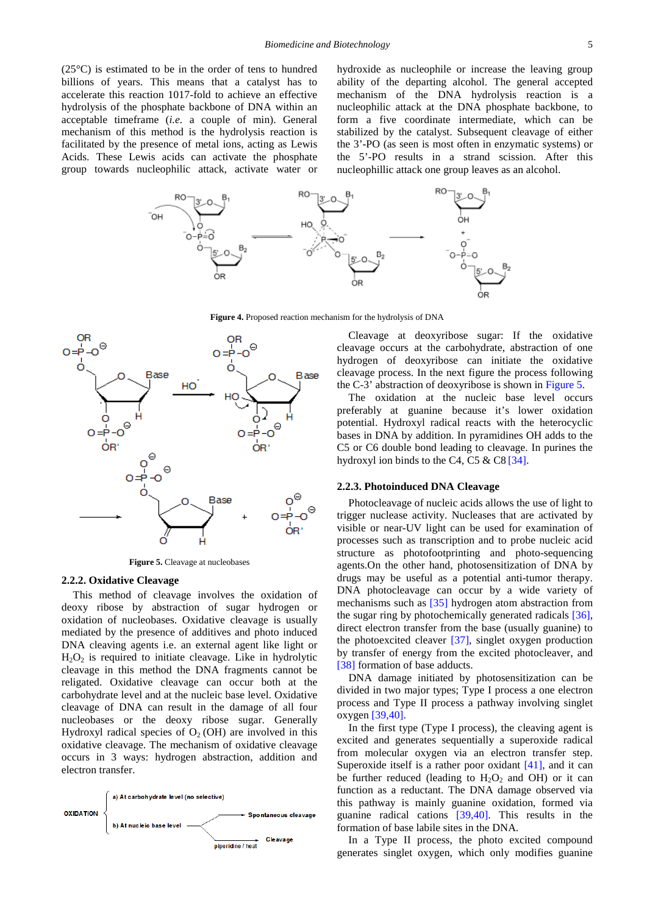(25°C) is estimated to be in the order of tens to hundred billions of years. This means that a catalyst has to accelerate this reaction 1017-fold to achieve an effective hydrolysis of the phosphate backbone of DNA within an acceptable timeframe (*i.e.* a couple of min). General mechanism of this method is the hydrolysis reaction is facilitated by the presence of metal ions, acting as Lewis Acids. These Lewis acids can activate the phosphate group towards nucleophilic attack, activate water or hydroxide as nucleophile or increase the leaving group ability of the departing alcohol. The general accepted mechanism of the DNA hydrolysis reaction is a nucleophilic attack at the DNA phosphate backbone, to form a five coordinate intermediate, which can be stabilized by the catalyst. Subsequent cleavage of either the 3'-PO (as seen is most often in enzymatic systems) or the 5'-PO results in a strand scission. After this nucleophillic attack one group leaves as an alcohol.



**Figure 4.** Proposed reaction mechanism for the hydrolysis of DNA

<span id="page-4-0"></span>

**Figure 5.** Cleavage at nucleobases

#### **2.2.2. Oxidative Cleavage**

This method of cleavage involves the oxidation of deoxy ribose by abstraction of sugar hydrogen or oxidation of nucleobases. Oxidative cleavage is usually mediated by the presence of additives and photo induced DNA cleaving agents i.e. an external agent like light or  $H_2O_2$  is required to initiate cleavage. Like in hydrolytic cleavage in this method the DNA fragments cannot be religated. Oxidative cleavage can occur both at the carbohydrate level and at the nucleic base level. Oxidative cleavage of DNA can result in the damage of all four nucleobases or the deoxy ribose sugar. Generally Hydroxyl radical species of  $O<sub>2</sub>$  (OH) are involved in this oxidative cleavage. The mechanism of oxidative cleavage occurs in 3 ways: hydrogen abstraction, addition and electron transfer.



Cleavage at deoxyribose sugar: If the oxidative cleavage occurs at the carbohydrate, abstraction of one hydrogen of deoxyribose can initiate the oxidative cleavage process. In the next figure the process following the C-3' abstraction of deoxyribose is shown in [Figure 5.](#page-4-0)

The oxidation at the nucleic base level occurs preferably at guanine because it's lower oxidation potential. Hydroxyl radical reacts with the heterocyclic bases in DNA by addition. In pyramidines OH adds to the C5 or C6 double bond leading to cleavage. In purines the hydroxyl ion binds to the C4, C5 & C8 [\[34\].](#page-7-25)

## **2.2.3. Photoinduced DNA Cleavage**

Photocleavage of nucleic acids allows the use of light to trigger nuclease activity. Nucleases that are activated by visible or near-UV light can be used for examination of processes such as transcription and to probe nucleic acid structure as photofootprinting and photo-sequencing agents.On the other hand, photosensitization of DNA by drugs may be useful as a potential anti-tumor therapy. DNA photocleavage can occur by a wide variety of mechanisms such as [\[35\]](#page-7-26) hydrogen atom abstraction from the sugar ring by photochemically generated radicals [\[36\],](#page-7-27) direct electron transfer from the base (usually guanine) to the photoexcited cleaver [\[37\],](#page-7-28) singlet oxygen production by transfer of energy from the excited photocleaver, and [\[38\]](#page-7-29) formation of base adducts.

DNA damage initiated by photosensitization can be divided in two major types; Type I process a one electron process and Type II process a pathway involving singlet oxygen [\[39,40\].](#page-7-30)

In the first type (Type I process), the cleaving agent is excited and generates sequentially a superoxide radical from molecular oxygen via an electron transfer step. Superoxide itself is a rather poor oxidant [\[41\],](#page-7-31) and it can be further reduced (leading to  $H_2O_2$  and OH) or it can function as a reductant. The DNA damage observed via this pathway is mainly guanine oxidation, formed via guanine radical cations [\[39,40\].](#page-7-30) This results in the formation of base labile sites in the DNA.

In a Type II process, the photo excited compound generates singlet oxygen, which only modifies guanine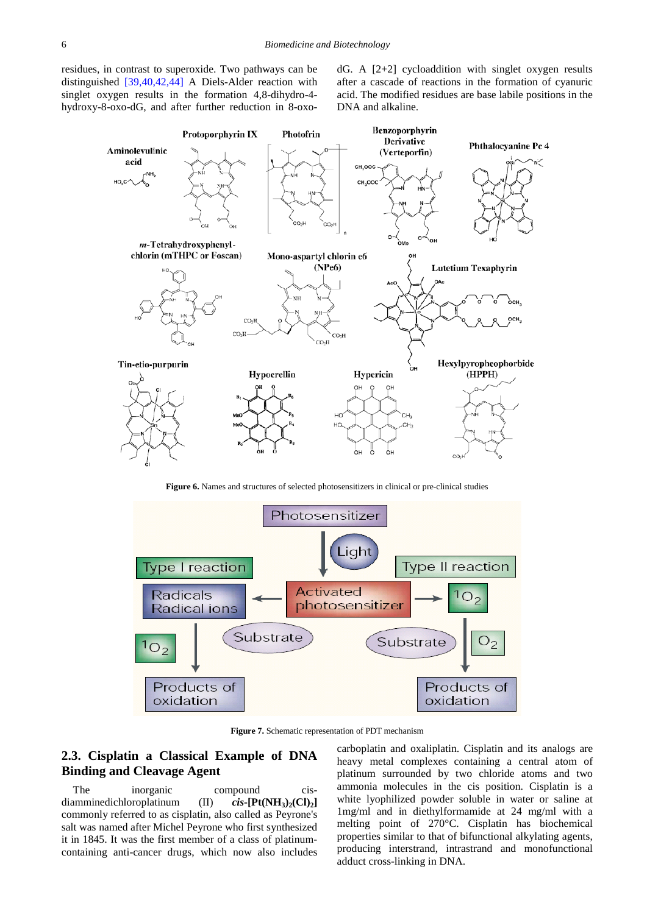residues, in contrast to superoxide. Two pathways can be distinguished [\[39,40,42,44\]](#page-7-30) A Diels-Alder reaction with singlet oxygen results in the formation 4,8-dihydro-4 hydroxy-8-oxo-dG, and after further reduction in 8-oxo $dG$ . A  $[2+2]$  cycloaddition with singlet oxygen results after a cascade of reactions in the formation of cyanuric acid. The modified residues are base labile positions in the DNA and alkaline.



**Figure 6.** Names and structures of selected photosensitizers in clinical or pre-clinical studies



**Figure 7.** Schematic representation of PDT mechanism

# **2.3. Cisplatin a Classical Example of DNA Binding and Cleavage Agent**

The inorganic compound cisdiamminedichloroplatinum  $(II)$   $cis$ **-[Pt(NH<sub>3</sub>)<sub>2</sub>(Cl)<sub>2</sub>]** commonly referred to as cisplatin, also called as Peyrone's salt was named after Michel Peyrone who first synthesized it in 1845. It was the first member of a class of platinumcontaining anti-cancer drugs, which now also includes carboplatin and oxaliplatin. Cisplatin and its analogs are heavy metal complexes containing a central atom of platinum surrounded by two chloride atoms and two ammonia molecules in the cis position. Cisplatin is a white lyophilized powder soluble in water or saline at 1mg/ml and in diethylformamide at 24 mg/ml with a melting point of 270°C. Cisplatin has biochemical properties similar to that of bifunctional alkylating agents, producing interstrand, intrastrand and monofunctional adduct cross-linking in DNA.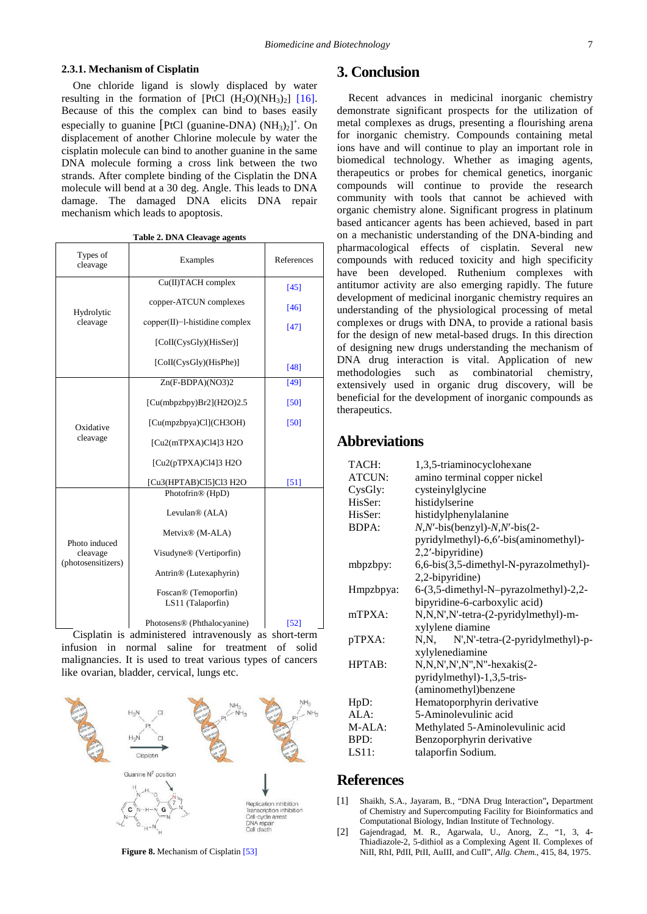### **2.3.1. Mechanism of Cisplatin**

One chloride ligand is slowly displaced by water resulting in the formation of  $[PtCl (H<sub>2</sub>O)(NH<sub>3</sub>)<sub>2</sub>] [16]$ . Because of this the complex can bind to bases easily especially to guanine [PtCl (guanine-DNA)  $(NH_3)_2$ <sup>+</sup>. On displacement of another Chlorine molecule by water the cisplatin molecule can bind to another guanine in the same DNA molecule forming a cross link between the two strands. After complete binding of the Cisplatin the DNA molecule will bend at a 30 deg. Angle. This leads to DNA damage. The damaged DNA elicits DNA repair mechanism which leads to apoptosis.

|  | Table 2. DNA Cleavage agents |  |
|--|------------------------------|--|
|  |                              |  |

| Types of<br>cleavage                            | Examples                                              | References |
|-------------------------------------------------|-------------------------------------------------------|------------|
|                                                 | Cu(II)TACH complex                                    | [45]       |
| Hydrolytic<br>cleavage                          | copper-ATCUN complexes                                | [46]       |
|                                                 | $copper(II)$ -l-histidine complex                     | $[47]$     |
|                                                 | [CoII(CysGly)(HisSer)]                                |            |
|                                                 | [CoII(CysGly)(HisPhe)]                                | [48]       |
|                                                 | $Zn(F-BDPA)(NO3)2$                                    | $[49]$     |
| Oxidative<br>cleavage                           | [Cu(mbpzbpy)Br2](H2O)2.5                              | [50]       |
|                                                 | [Cu(mpzbpya)Cl](CH3OH)                                | $[50]$     |
|                                                 | $[Cu2(mTPXA)Cl4]$ 3 H2O                               |            |
|                                                 | $[Cu2(pTPXA)Cl4]$ 3 H2O                               |            |
|                                                 | [Cu3(HPTAB)Cl5]Cl3 H2O                                | [51]       |
| Photo induced<br>cleavage<br>(photosensitizers) | Photofrin® (HpD)                                      |            |
|                                                 | Levulan <sup>®</sup> (ALA)                            |            |
|                                                 | Metvix <sup>®</sup> (M-ALA)                           |            |
|                                                 | Visudyne® (Vertiporfin)                               |            |
|                                                 | Antrin® (Lutexaphyrin)                                |            |
|                                                 | Foscan <sup>®</sup> (Temoporfin)<br>LS11 (Talaporfin) |            |
|                                                 | Photosens <sup>®</sup> (Phthalocyanine)               | $[52]$     |

Cisplatin is administered intravenously as short-term infusion in normal saline for treatment of solid malignancies. It is used to treat various types of cancers like ovarian, bladder, cervical, lungs etc.



**Figure 8.** Mechanism of Cisplati[n \[53\]](#page-8-2)

## **3. Conclusion**

Recent advances in medicinal inorganic chemistry demonstrate significant prospects for the utilization of metal complexes as drugs, presenting a flourishing arena for inorganic chemistry. Compounds containing metal ions have and will continue to play an important role in biomedical technology. Whether as imaging agents, therapeutics or probes for chemical genetics, inorganic compounds will continue to provide the research community with tools that cannot be achieved with organic chemistry alone. Significant progress in platinum based anticancer agents has been achieved, based in part on a mechanistic understanding of the DNA-binding and pharmacological effects of cisplatin. Several new compounds with reduced toxicity and high specificity have been developed. Ruthenium complexes with antitumor activity are also emerging rapidly. The future development of medicinal inorganic chemistry requires an understanding of the physiological processing of metal complexes or drugs with DNA, to provide a rational basis for the design of new metal-based drugs. In this direction of designing new drugs understanding the mechanism of DNA drug interaction is vital. Application of new methodologies such as combinatorial chemistry, such as combinatorial chemistry, extensively used in organic drug discovery, will be beneficial for the development of inorganic compounds as therapeutics.

# **Abbreviations**

| TACH:         | 1,3,5-triaminocyclohexane                |
|---------------|------------------------------------------|
| <b>ATCUN:</b> | amino terminal copper nickel             |
| CysGly:       | cysteinylglycine                         |
| HisSer:       | histidylserine                           |
| HisSer:       | histidylphenylalanine                    |
| <b>BDPA:</b>  | $N, N'$ -bis(benzyl)- $N, N'$ -bis(2-    |
|               | pyridylmethyl)-6,6'-bis(aminomethyl)-    |
|               | 2,2'-bipyridine)                         |
| mbpzbpy:      | 6,6-bis(3,5-dimethyl-N-pyrazolmethyl)-   |
|               | 2,2-bipyridine)                          |
| Hmpzbpya:     | $6-(3,5$ -dimethyl-N-pyrazolmethyl)-2,2- |
|               | bipyridine-6-carboxylic acid)            |
| mTPXA:        | N,N,N',N'-tetra-(2-pyridylmethyl)-m-     |
|               | xylylene diamine                         |
| pTPXA:        | $N, N, N', N'-teta-(2-pyridylmethyl)-p-$ |
|               | xylylenediamine                          |
| HPTAB:        | N,N,N',N',N",N"-hexakis(2-               |
|               | pyridylmethyl)-1,3,5-tris-               |
|               | (aminomethyl)benzene                     |
| HpD:          | Hematoporphyrin derivative               |
| ALA:          | 5-Aminolevulinic acid                    |
| M-ALA:        | Methylated 5-Aminolevulinic acid         |
| BPD:          | Benzoporphyrin derivative                |
| LS11:         | talaporfin Sodium.                       |
|               |                                          |

## **References**

- <span id="page-6-0"></span>[1] Shaikh, S.A., Jayaram, B., "DNA Drug Interaction"**,** Department of Chemistry and Supercomputing Facility for Bioinformatics and Computational Biology, Indian Institute of Technology.
- <span id="page-6-1"></span>[2] Gajendragad, M. R., Agarwala, U., Anorg, Z., "1, 3, 4- Thiadiazole-2, 5-dithiol as a Complexing Agent II. Complexes of NiII, RhI, PdII, PtII, AuIII, and CuII", *Allg. Chem.*, 415, 84, 1975.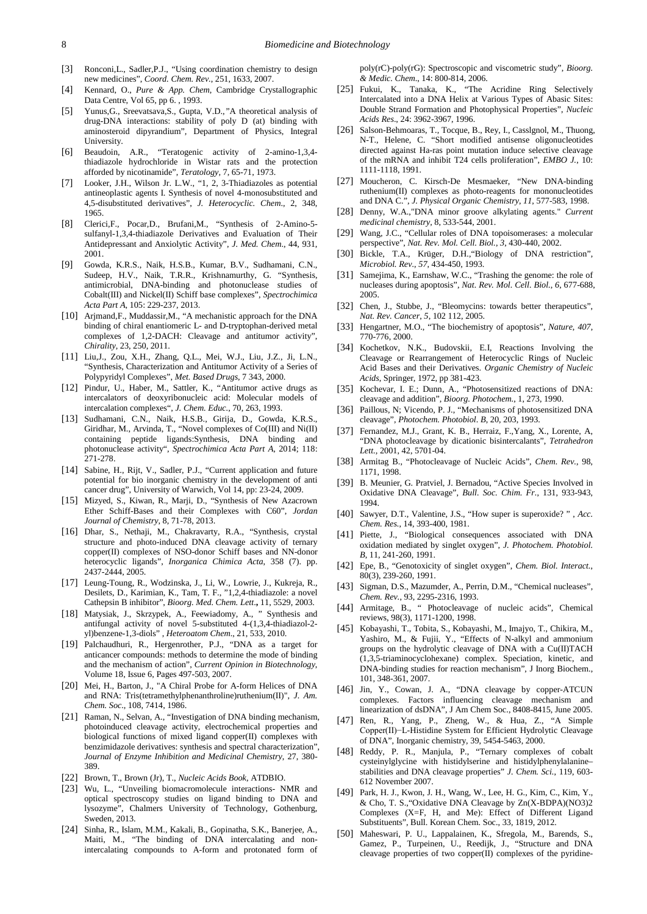- [3] Ronconi,L., Sadler,P.J., "Using coordination chemistry to design new medicines", *Coord. Chem. Rev.*, 251, 1633, 2007.
- <span id="page-7-0"></span>[4] Kennard, O., *Pure & App. Chem*, Cambridge Crystallographic Data Centre, Vol 65, pp 6. , 1993.
- <span id="page-7-1"></span>[5] Yunus,G., Sreevatsava,S., Gupta*,* V.D.,*"*A theoretical analysis of drug-DNA interactions: stability of poly D (at) binding with aminosteroid dipyrandium"*,* Department of Physics, Integral University.
- <span id="page-7-2"></span>[6] Beaudoin, A.R., "Teratogenic activity of 2-amino-1,3,4 thiadiazole hydrochloride in Wistar rats and the protection afforded by nicotinamide", *Teratology,* 7, 65-71, 1973.
- [7] Looker, J.H., Wilson Jr. L.W., "1, 2, 3-Thiadiazoles as potential antineoplastic agents I. Synthesis of novel 4-monosubstituted and 4,5-disubstituted derivatives", *J. Heterocyclic. Chem*., 2, 348, 1965.
- <span id="page-7-3"></span>[8] Clerici,F., Pocar,D., Brufani,M., "Synthesis of 2-Amino-5 sulfanyl-1,3,4-thiadiazole Derivatives and Evaluation of Their Antidepressant and Anxiolytic Activity", *J. Med. Chem*., 44, 931, 2001.
- <span id="page-7-4"></span>[9] Gowda, K.R.S., Naik, H.S.B., Kumar, B.V., Sudhamani, C.N., Sudeep, H.V., Naik, T.R.R., Krishnamurthy, G. "Synthesis, antimicrobial, DNA-binding and photonuclease studies of Cobalt(III) and Nickel(II) Schiff base complexes", *Spectrochimica Acta Part A*, 105: 229-237, 2013.
- [10] Arjmand, F., Muddassir, M., "A mechanistic approach for the DNA binding of chiral enantiomeric L- and D-tryptophan-derived metal complexes of 1,2-DACH: Cleavage and antitumor activity", *Chirality*, 23, 250, 2011.
- <span id="page-7-5"></span>[11] Liu,J., Zou, X.H., Zhang, Q.L., Mei, W.J., Liu, J.Z., Ji, L.N., "Synthesis, Characterization and Antitumor Activity of a Series of Polypyridyl Complexes", *Met. Based Drugs*, 7 343, 2000.
- <span id="page-7-6"></span>[12] Pindur, U., Haber, M., Sattler, K., "Antitumor active drugs as intercalators of deoxyribonucleic acid: Molecular models of intercalation complexes", *J. Chem. Educ.*, 70, 263, 1993.
- [13] Sudhamani, C.N., Naik, H.S.B., Girija, D., Gowda, K.R.S., Giridhar, M., Arvinda, T., "Novel complexes of Co(III) and Ni(II) containing peptide ligands:Synthesis, DNA binding and photonuclease activity", *Spectrochimica Acta Part A,* 2014; 118: 271-278.
- <span id="page-7-7"></span>[14] Sabine, H., Rijt, V., Sadler, P.J., "Current application and future potential for bio inorganic chemistry in the development of anti cancer drug", University of Warwich, Vol 14, pp: 23-24, 2009.
- <span id="page-7-8"></span>[15] Mizyed, S., Kiwan, R., Marji, D., "Synthesis of New Azacrown Ether Schiff-Bases and their Complexes with C60", *Jordan Journal of Chemistry*, 8, 71-78, 2013.
- <span id="page-7-9"></span>[16] Dhar, S., Nethaji, M., Chakravarty, R.A., "Synthesis, crystal structure and photo-induced DNA cleavage activity of ternary copper(II) complexes of NSO-donor Schiff bases and NN-donor heterocyclic ligands", *Inorganica Chimica Acta*, 358 (7). pp. 2437-2444, 2005.
- <span id="page-7-10"></span>[17] Leung-Toung, R., Wodzinska, J., Li, W., Lowrie, J., Kukreja, R., Desilets, D., Karimian, K., Tam, T. F., "1,2,4-thiadiazole: a novel Cathepsin B inhibitor", *Bioorg. Med. Chem. Lett*.**,** 11, 5529, 2003.
- [18] Matysiak, J., Skrzypek, A., Feewiadomy, A., " Synthesis and antifungal activity of novel 5-substituted 4-(1,3,4-thiadiazol-2 yl)benzene-1,3-diols" , *Heteroatom Chem*., 21, 533, 2010.
- <span id="page-7-11"></span>[19] Palchaudhuri, R., Hergenrother, P.J., "DNA as a target for anticancer compounds: methods to determine the mode of binding and the mechanism of action", *Current Opinion in Biotechnology*, Volume 18, Issue 6, Pages 497-503, 2007.
- <span id="page-7-12"></span>[20] Mei, H., Barton, J., "A Chiral Probe for A-form Helices of DNA and RNA: Tris(tetramethylphenanthroline)ruthenium(II)", *J. Am. Chem. Soc.*, 108, 7414, 1986.
- <span id="page-7-13"></span>[21] Raman, N., Selvan, A., "Investigation of DNA binding mechanism, photoinduced cleavage activity, electrochemical properties and biological functions of mixed ligand copper(II) complexes with benzimidazole derivatives: synthesis and spectral characterization", *Journal of Enzyme Inhibition and Medicinal Chemistry*, 27, 380- 389.
- <span id="page-7-14"></span>[22] Brown, T., Brown (Jr), T., *Nucleic Acids Book*, ATDBIO.
- <span id="page-7-16"></span>[23] Wu, L., "Unveiling biomacromolecule interactions- NMR and optical spectroscopy studies on ligand binding to DNA and lysozyme", Chalmers University of Technology, Gothenburg, Sweden, 2013.
- <span id="page-7-17"></span>[24] Sinha, R., Islam, M.M., Kakali, B., Gopinatha, S.K., Banerjee, A., Maiti, M., "The binding of DNA intercalating and nonintercalating compounds to A-form and protonated form of

poly(rC)-poly(rG): Spectroscopic and viscometric study", *Bioorg. & Medic. Chem*., 14: 800-814, 2006.

- <span id="page-7-19"></span>[25] Fukui, K., Tanaka, K., "The Acridine Ring Selectively Intercalated into a DNA Helix at Various Types of Abasic Sites: Double Strand Formation and Photophysical Properties", *Nucleic Acids Res*., 24: 3962-3967, 1996.
- [26] Salson-Behmoaras, T., Tocque, B., Rey, I., Casslgnol, M., Thuong, N-T., Helene, C. "Short modified antisense oligonucleotides directed against Ha-ras point mutation induce selective cleavage of the mRNA and inhibit T24 cells proliferation", *EMBO J.*, 10: 1111-1118, 1991.
- <span id="page-7-15"></span>[27] Moucheron, C. Kirsch-De Mesmaeker, "New DNA-binding ruthenium(II) complexes as photo-reagents for mononucleotides and DNA C.", *J. Physical Organic Chemistry*, *11*, 577-583, 1998.
- <span id="page-7-18"></span>[28] Denny, W.A.,"DNA minor groove alkylating agents." *Current medicinal chemistry,* 8, 533-544, 2001.
- <span id="page-7-20"></span>[29] Wang, J.C., "Cellular roles of DNA topoisomerases: a molecular perspective", *Nat. Rev. Mol. Cell. Biol.*, *3*, 430-440, 2002.
- <span id="page-7-21"></span>[30] Bickle, T.A., Krüger, D.H.,"Biology of DNA restriction", *Microbiol. Rev.*, *57*, 434-450, 1993.
- <span id="page-7-22"></span>[31] Samejima, K., Earnshaw, W.C., "Trashing the genome: the role of nucleases during apoptosis", *Nat. Rev. Mol. Cell. Biol.*, *6*, 677-688, 2005.
- <span id="page-7-23"></span>[32] Chen, J., Stubbe, J., "Bleomycins: towards better therapeutics", *Nat. Rev. Cancer*, *5*, 102 112, 2005.
- <span id="page-7-24"></span>[33] Hengartner, M.O., "The biochemistry of apoptosis", *Nature*, *407*, 770-776, 2000.
- <span id="page-7-25"></span>[34] Kochetkov, N.K., Budovskii, E.I, Reactions Involving the Cleavage or Rearrangement of Heterocyclic Rings of Nucleic Acid Bases and their Derivatives. *Organic Chemistry of Nucleic Acids*, Springer, 1972, pp 381-423.
- <span id="page-7-26"></span>[35] Kochevar, I. E.; Dunn, A., "Photosensitized reactions of DNA: cleavage and addition", *Bioorg. Photochem*., 1, 273, 1990.
- <span id="page-7-27"></span>[36] Paillous, N; Vicendo, P. J., "Mechanisms of photosensitized DNA cleavage", *Photochem. Photobiol*. *B*, 20, 203, 1993.
- <span id="page-7-28"></span>[37] Fernandez, M.J., Grant, K. B., Herraiz, F.,Yang, X., Lorente, A, "DNA photocleavage by dicationic bisintercalants", *Tetrahedron Lett.,* 2001, 42, 5701-04.
- <span id="page-7-29"></span>[38] Armitag B., "Photocleavage of Nucleic Acids", *Chem. Rev.*, 98, 1171, 1998.
- <span id="page-7-30"></span>[39] B. Meunier, G. Pratviel, J. Bernadou, "Active Species Involved in Oxidative DNA Cleavage", *Bull. Soc. Chim. Fr.*, 131, 933-943, 1994.
- [40] Sawyer, D.T., Valentine, J.S., "How super is superoxide? " , *Acc. Chem. Res.*, 14, 393-400, 1981.
- <span id="page-7-31"></span>[41] Piette, J., "Biological consequences associated with DNA oxidation mediated by singlet oxygen", *J. Photochem. Photobiol. B*, 11, 241-260, 1991.
- [42] Epe, B., "Genotoxicity of singlet oxygen", *Chem. Biol. Interact.*, 80(3), 239-260, 1991.
- [43] Sigman, D.S., Mazumder, A., Perrin, D.M., "Chemical nucleases", *Chem. Rev.*, 93, 2295-2316, 1993.
- [44] Armitage, B., " Photocleavage of nucleic acids", Chemical reviews, 98(3), 1171-1200, 1998.
- <span id="page-7-32"></span>[45] Kobayashi, T., Tobita, S., Kobayashi, M., Imajyo, T., Chikira, M., Yashiro, M., & Fujii, Y., "Effects of N-alkyl and ammonium groups on the hydrolytic cleavage of DNA with a Cu(II)TACH (1,3,5-triaminocyclohexane) complex. Speciation, kinetic, and DNA-binding studies for reaction mechanism", J Inorg Biochem., 101, 348-361, 2007.
- <span id="page-7-33"></span>[46] Jin, Y., Cowan, J. A., "DNA cleavage by copper-ATCUN complexes. Factors influencing cleavage mechanism and linearization of dsDNA", J Am Chem Soc., 8408-8415, June 2005.
- <span id="page-7-34"></span>[47] Ren, R., Yang, P., Zheng, W., & Hua, Z., "A Simple Copper(II)−L-Histidine System for Efficient Hydrolytic Cleavage of DNA", Inorganic chemistry, 39, 5454-5463, 2000.
- <span id="page-7-35"></span>[48] Reddy, P. R., Manjula, P., "Ternary complexes of cobalt cysteinylglycine with histidylserine and histidylphenylalanine– stabilities and DNA cleavage properties" *J. Chem. Sci.*, 119, 603- 612 November 2007.
- <span id="page-7-36"></span>[49] Park, H. J., Kwon, J. H., Wang, W., Lee, H. G., Kim, C., Kim, Y., & Cho, T. S.,"Oxidative DNA Cleavage by Zn(X-BDPA)(NO3)2 Complexes (X=F, H, and Me): Effect of Different Ligand Substituents", Bull. Korean Chem. Soc., 33, 1819, 2012.
- <span id="page-7-37"></span>[50] Maheswari, P. U., Lappalainen, K., Sfregola, M., Barends, S., Gamez, P., Turpeinen, U., Reedijk, J., "Structure and DNA cleavage properties of two copper(II) complexes of the pyridine-